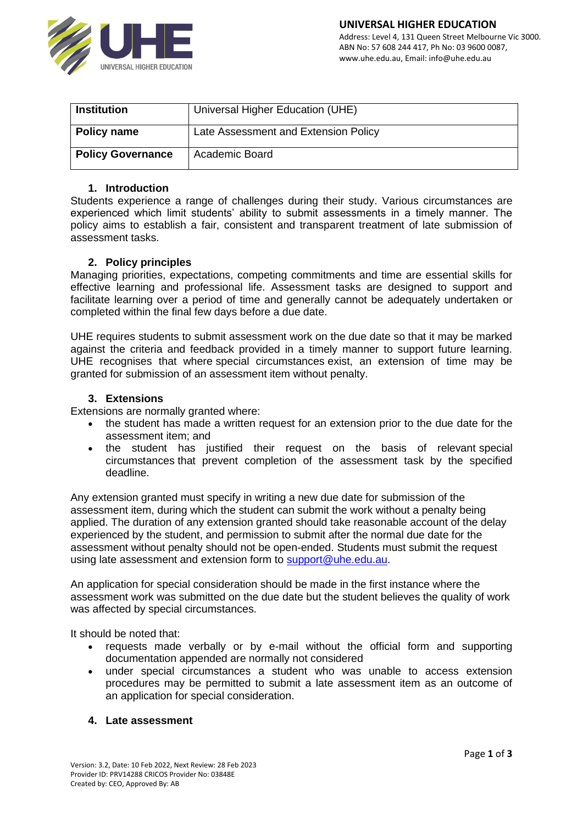

| <b>Institution</b>       | Universal Higher Education (UHE)     |
|--------------------------|--------------------------------------|
| <b>Policy name</b>       | Late Assessment and Extension Policy |
| <b>Policy Governance</b> | Academic Board                       |

# **1. Introduction**

Students experience a range of challenges during their study. Various circumstances are experienced which limit students' ability to submit assessments in a timely manner. The policy aims to establish a fair, consistent and transparent treatment of late submission of assessment tasks.

## **2. Policy principles**

Managing priorities, expectations, competing commitments and time are essential skills for effective learning and professional life. Assessment tasks are designed to support and facilitate learning over a period of time and generally cannot be adequately undertaken or completed within the final few days before a due date.

UHE requires students to submit assessment work on the due date so that it may be marked against the criteria and feedback provided in a timely manner to support future learning. UHE recognises that where special circumstances exist, an extension of time may be granted for submission of an assessment item without penalty.

## **3. Extensions**

Extensions are normally granted where:

- the student has made a written request for an extension prior to the due date for the assessment item; and
- the student has justified their request on the basis of relevant [special](http://www.student.qut.edu.au/studying/special-circumstances)  [circumstances](http://www.student.qut.edu.au/studying/special-circumstances) that prevent completion of the assessment task by the specified deadline.

Any extension granted must specify in writing a new due date for submission of the assessment item, during which the student can submit the work without a penalty being applied. The duration of any extension granted should take reasonable account of the delay experienced by the student, and permission to submit after the normal due date for the assessment without penalty should not be open-ended. Students must submit the request using late assessment and extension form to [support@uhe.edu.au.](mailto:support@uhe.edu.au)

An application for special consideration should be made in the first instance where the assessment work was submitted on the due date but the student believes the quality of work was affected by special circumstances.

It should be noted that:

- requests made verbally or by e-mail without the official form and supporting documentation appended are normally not considered
- under special circumstances a student who was unable to access extension procedures may be permitted to submit a late assessment item as an outcome of an [application for special consideration.](https://www.student.qut.edu.au/studying/assessment/special-consideration)

#### **4. Late assessment**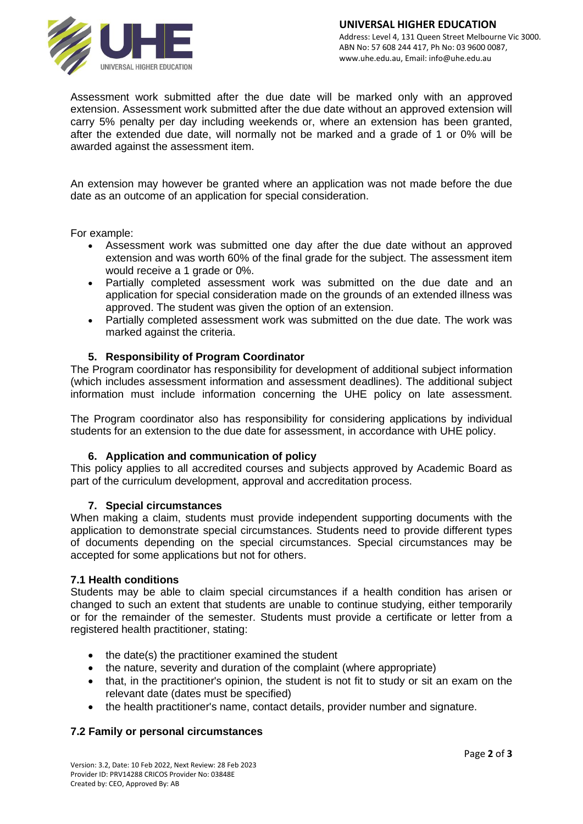

Assessment work submitted after the due date will be marked only with an approved extension. Assessment work submitted after the due date without an approved extension will carry 5% penalty per day including weekends or, where an extension has been granted, after the extended due date, will normally not be marked and a grade of 1 or 0% will be awarded against the assessment item.

An extension may however be granted where an application was not made before the due date as an outcome of an application for special consideration.

For example:

- Assessment work was submitted one day after the due date without an approved extension and was worth 60% of the final grade for the subject. The assessment item would receive a 1 grade or 0%.
- Partially completed assessment work was submitted on the due date and an application for special consideration made on the grounds of an extended illness was approved. The student was given the option of an extension.
- Partially completed assessment work was submitted on the due date. The work was marked against the criteria.

# **5. Responsibility of Program Coordinator**

The Program coordinator has responsibility for development of additional subject information (which includes assessment information and assessment deadlines). The additional subject information must include information concerning the UHE policy on late assessment.

The Program coordinator also has responsibility for considering applications by individual students for an extension to the due date for assessment, in accordance with UHE policy.

#### **6. Application and communication of policy**

This policy applies to all accredited courses and subjects approved by Academic Board as part of the curriculum development, approval and accreditation process.

#### **7. Special circumstances**

When making a claim, students must provide independent supporting documents with the application to demonstrate special circumstances. Students need to provide different types of documents depending on the special circumstances. Special circumstances may be accepted for some applications but not for others.

#### **7.1 Health conditions**

Students may be able to claim special circumstances if a health condition has arisen or changed to such an extent that students are unable to continue studying, either temporarily or for the remainder of the semester. Students must provide a certificate or letter from a registered health practitioner, stating:

- the date(s) the practitioner examined the student
- the nature, severity and duration of the complaint (where appropriate)
- that, in the practitioner's opinion, the student is not fit to study or sit an exam on the relevant date (dates must be specified)
- the health practitioner's name, contact details, provider number and signature.

# **7.2 Family or personal circumstances**